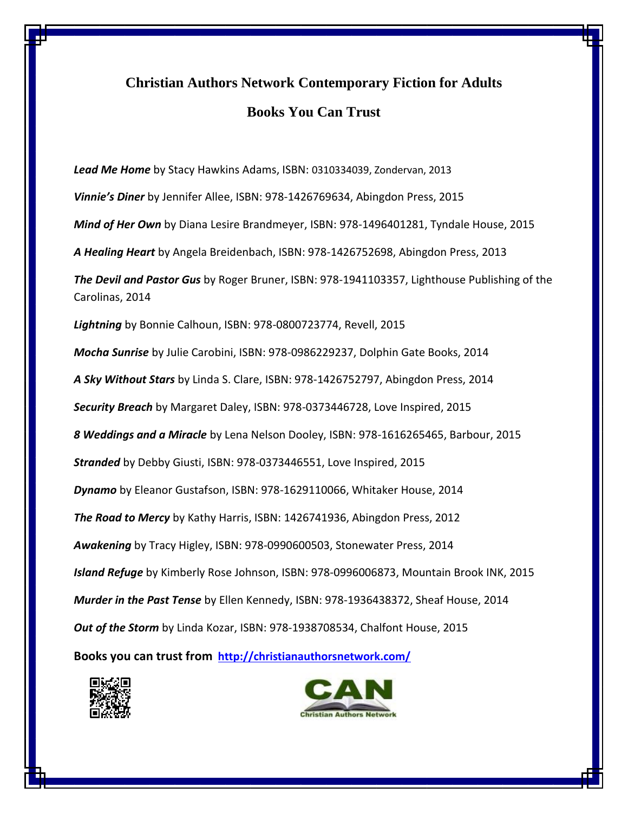## **Christian Authors Network Contemporary Fiction for Adults Books You Can Trust**

*Lead Me Home* by Stacy Hawkins Adams, ISBN: 0310334039, Zondervan, 2013 *Vinnie's Diner* by Jennifer Allee, ISBN: 978-1426769634, Abingdon Press, 2015 *Mind of Her Own* by Diana Lesire Brandmeyer, ISBN: 978-1496401281, Tyndale House, 2015 *A Healing Heart* by Angela Breidenbach, ISBN: 978-1426752698, Abingdon Press, 2013 *The Devil and Pastor Gus* by Roger Bruner, ISBN: 978-1941103357, Lighthouse Publishing of the Carolinas, 2014 *Lightning* by Bonnie Calhoun, ISBN: 978-0800723774, Revell, 2015 *Mocha Sunrise* by Julie Carobini, ISBN: 978-0986229237, Dolphin Gate Books, 2014 *A Sky Without Stars* by Linda S. Clare, ISBN: 978-1426752797, Abingdon Press, 2014 *Security Breach* by Margaret Daley, ISBN: 978-0373446728, Love Inspired, 2015 *8 Weddings and a Miracle* by Lena Nelson Dooley, ISBN: 978-1616265465, Barbour, 2015 *Stranded* by Debby Giusti, ISBN: 978-0373446551, Love Inspired, 2015 *Dynamo* by Eleanor Gustafson, ISBN: 978-1629110066, Whitaker House, 2014 *The Road to Mercy* by Kathy Harris, ISBN: 1426741936, Abingdon Press, 2012 *Awakening* by Tracy Higley, ISBN: 978-0990600503, Stonewater Press, 2014 *Island Refuge* by Kimberly Rose Johnson, ISBN: 978-0996006873, Mountain Brook INK, 2015 *Murder in the Past Tense* by Ellen Kennedy, ISBN: 978-1936438372, Sheaf House, 2014 *Out of the Storm* by Linda Kozar, ISBN: 978-1938708534, Chalfont House, 2015 **Books you can trust from <http://christianauthorsnetwork.com/>**